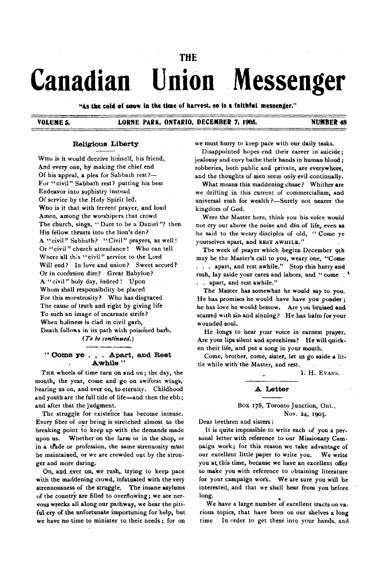# **Canadian Union Messenger**

THE

"As the cold at snow in the time ot harvest, so is a faithfal messenger."

#### VOLUME 5. LORNE PARK, ONTARIO, DECEMBER 7, 1905. NUMBER 48

#### **Religious Liberty**

WHo is it would deceive himself, his friend, And every one, by making the chief end Of his appeal, a plea for Sabbath rest?-For "civil" Sabbath rest? putting his best Endeavor into sophistry instead Of service by the Holy Spirit led. Who is it that with fervent prayer, and loud Amen, among the worshipers that crowd The church, sings, " Dare to be a Daniel"? then His fellow thrusts into the lion's den? A "civil" Sabbath? "Civil" prayers, as well! Or "civil" church attendance! Who can tell Where all this " civil" service to the Lord Will end? In love and union? Sweet accord? Or in confusion dire? Great Babylon? A " civ il" holy day, indeed ! Upon Whom shall responsibility be placed For this morstrosity? Who has disgraced The cause of truth and right by giving life To such an image of incarnate strife? When holiness is clad in civil garb, Death follows in its path with poisoned barb.

*{T o be continued.)*

#### **" Dome ye . , . Apart, and Rest Aw h ile "**

THE wheels of time turn on and on; the day, the month, the year, come and go on swiftest wings, bearing us on, and ever on, to eternity. Childhood and youth are the full tide of life—and then the ebb; and after that the judgment.

The struggle for existence has become intense. Every fibre of our being is stretched almost to the breaking point to keep up with the demands made upon us. Whether on the farm or in the shop, or in a trade or profession, the same strenuosity must be maintained, or we are crowded out by the stronger and more daring.

On, and ever on, we rush, trying to keep pace with the maddening crowd, infatuated with the very strenuousness of the struggle. The insane asylums of the country are filled to overflowing; we see nervous wrecks all along our pathway, we hear the pitiful cry of the unfortunate importuning for help, but we have no time to minister to their needs ; for on we must hurry to keep pace with our daily tasks.

Disappointed hopes end their career in suicide; jealousy and envy bathe their hands in human blood; robberies, both public and private, are everywhere, and the thoughts of men seem only evil continually.

What means this maddening chase? Whither are we drifting in this current of commercialism, and universal rush for wealth ?— Surely not nearer the kingdom of God.

Were the Master here, think you his voice would not cry out above the noise and din of life, even as he said to the weary disciples of old, " Come ye yourselves apart, and REST AWHILE."

The week of prayer which begins December 9lh may be the Master's call to you, weary one, " Come . . . apart, and rest awhile." Stop this hurry and rush, lay aside your cares and labors, and " come . ' . . apart, and rest awhile. "

The Master has somewhat he would say to you. He has promises he would have have you ponder; he has love he would bestow. Are you bruised and scarred with sin and sinning? He has balm for your wounded soul.

He longs to hear your voice in earnest prayer. Are your lips silent and speechless? He will quicken their life, and put a song in your mouth.

Come, brother, come, sister, let us go aside a little while with the Master, and rest.

1. H. EVANS.

## **A Letter**

Box 178, Toronto Junction, Ont.,

Nov. 24, 1905.

Dear brethren and sisters:

It is quite impossible to write each of you a personal letter with reference to our Missionary Cam paign work.; for this reason we take advantage of our excellent little paper to write you. We write you at this time, because we have an excellent offer to make you with reference to obtaining literature for your campaign work. We are sure you will be interested, and that we shall hear from you before long.

We have a large number of excellent tracts on various topics, that have been on our shelves a long time In order to get these into your hands, and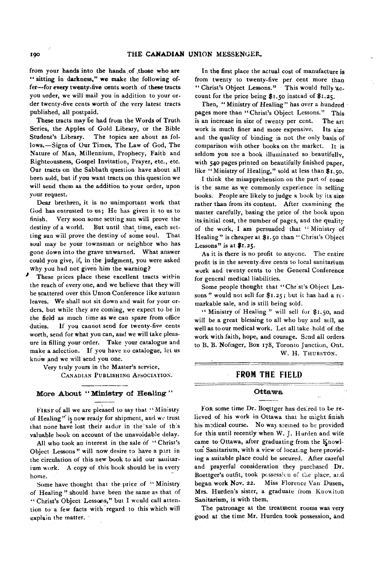from your hands into the hands of .those who are " sitting in darkness," we make the following offer— for every twenty-five cents worth of these tracts you order, we will mail you in addition to your order twenty-five cents worth of the very latest tracts published, ail postpaid.

These tracts may be had from the Words of Truth Series, the Apples of Gold Library, or the Bible Student's Library. The topics are about as follows,— Signs of Our Times, The Law of God, The Nature of Man, Millennium, Prophecy, Faith and Righteousness, Gospel Invitation, Prayer, etc., etc. Our tracts on the Sabbath question have about all been sold, but if you want tracts on this question we will send them as the addition to your order, upon your request.

Dear brethren, it is no unimportant work that God has entrusted to us; He has given it to us to finish. Very soon some setting sun will prove the destiny of a world. But until that time, each setting sun will prove the destiny of some soul. That soul may be your townsman or neighbor who has gone down into the grave unwarned. What answer could you give, if, in the judgment, you were asked why you had not given him the warning?

These prices place these excellent tracts within the reach of every one, and we believe that they will be scattered over this Union Conference like autumn leaves. We shall not sit down and wait for your orders, but while they are coming, we expect to be in the field as much time as we can spare from office duties. If you cannot send for twenty-five cents worth, send for what you can, and we will take pleasure in filling your order. Take your catalogue and make a selection. If you have no catalogue, let us know and we will send you one.

Very truly yours in the Master's service,

CANADIAN PUBLISHING ASSOCIATION.

#### **More About " Ministry of Healing "**

FIRST of all we are pleased to say that "Ministry of Healing" is now ready for shipment, and we trust that none have lost their aidor in the sale of this valuable book on account of the unavoidable delay.

All who took an interest in the sale of " Christ's Object Lessons" will now desire to have a part in the circulation of this new book to aid our sanitarium work. A copy of this book should be in every home.

Some have thought that the price of " Ministry of Healing " should have been the same as that of " Christ's Object Lessons," but I would call attention to a few facts with regard to this which will explain the matter.

In the first place the actual cost of manufacture is from twenty to twenty-five per cent more than " Christ's Object Lessons." This would fully account for the price being \$1.50 instead of \$1.25.

Then, "Ministry of Healing" has over a hundred pages more than "Christ's Object Lessons." This is an increase in size of twenty per cent. The art work is much finer and more expensive. Its size and the quality of binding is not the only basis of comparison with other books on the market. It is seldom you see a book illuminated so beautifully, with 540 pages printed on beautifully finished paper, like "Ministry of Healing," sold at less than \$1.50.

I think the misapprehension on the part of some is the same as we commonly experience in selling books. People are likely to judge a book by its size rather than from its content. After examining the matter carefully, basing the price of the book upon its initial cost, the number of pages, and the quality of the work, I am persuaded that " Ministry of Healing" is cheaper at \$1.50 than "Christ's Object Lessons" is at \$1.25.

As it is there is no profit to anyone. The entire profit is in the seventy-five cents to local sanitarium work and twenty cents to the General Conference for general medical liabilities.

Some people thought that "Christ's Object Lessons " would not sell for \$1.25; but it has had a remarkable sale, and is still being sold.

" Ministry of Healing " will sell for \$1.50, and will be a great blessing to all who buy and sell, as well as to our medical work. Let all take hold of the work with faith, hope, and courage. Send all orders to B. B. Noftsger, Box 178, Toronto Junction, Ont. W. H. THURSTON.

FROM THE FIELD

#### **Ottawa**

FOR some time Dr. Boettger has desired to be relieved of his work in Ottawa that he might finish his medical course. No way seemed to be provided for this until recently when W. J. Hurden and wife came to Ottawa, after graduating from the Knowlton Sanitarium, with a view of locating here providing a suitable place could be secured. After careful and prayerful consideration they purchased Dr. Boettger's outfit, took possession of the place, ar.d began work Nov. 22. Miss Florence Van Dusen, Mrs. Hurden's sister, a graduate from Knowiton Sanitarium, is with them.

The patronage at the treatment rooms was very good at the time Mr. Hurden took possession, and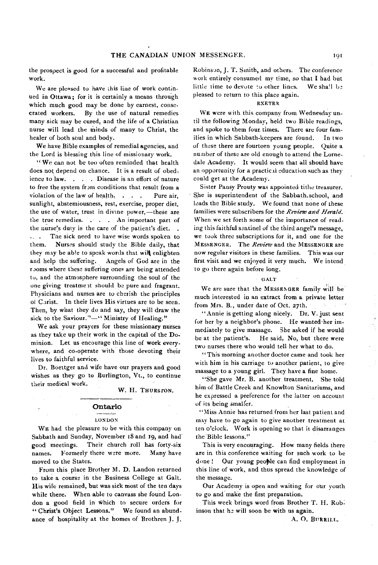the prospect is good for a successful and profitable work.

We are pleased to have this line of work continued in Ottawa: for it is certainly a means through which much good may be done by earnest, consecrated workers. By the use of natural remedies many sick may be cured, and the life of a Christian nurse will lead the minds of many to Christ, the healer of both soul and body.

We have Bible examples of remedial agencies, and the Lord is blessing this line of missionary work.

" We can not be too often reminded that health does not depend on chance. It is a result of obedience to law. . . . Disease is an effort of nature to free the system from conditions that result from a violation of the law of health. . . . Pure air, sunlight, abstemiousness, rest, exercise, proper diet, the use of water, trust in divine power,— these are the true remedies. . . . An important part of the nurse's duty is the care of the patient's diet. .. . The sick need to have wise words spoken to them. Nurses should study the Bible daily, that they may be able to speak words that will enlighten and help the suffering. Angels of God are in the rooms where these suffering ones are being attended to, and the atmosphere surrounding the soul of the one giving treatment should be pure and fragrant. Physicians and nurses are to cherish the principles of Carist. In their lives His virtues are to be seen. Then, by what they do and say, they will draw the sick to the Saviour."—" Ministry of Healing."

We ask your prayers for these missionary nurses as they take up their work in the capital of the Dominion. Let us encourage this line of work everywhere, and co-operate with those devoting their lives to faithful service.

Dr. Boeitger and wife have our prayers and good wishes as they go to Burlington, Vt., to continue their medical work.

#### W. H. THURSTON.

#### **Ontario**

#### LONDON

WE had the pleasure to be with this company on Sabbath and Sunday, November i8and 19, and had good meetings. Their church roll has forty-six names. Formerly there were more. Many have moved to the States.

From this place Brother M. D. Landon returned to take a course in the Business College at Galt. His wife remained, but was sick most of the ten days while there. When able to canvass she found London a good field in which to secure orders for " Christ's Object Lessons." We found an abundance of hospitality at the homes of Brothren J. J.

Robinson, J. T. Smith, and others. The conference work entirely consumed my time, so that I had but little time to devote to other lines. We shall be pleased to return to this place again.

#### EXETER

WE were with this company from Wednesday until the following Monday, held two Bible readings, and spoke to them four times. There are four families in which Sabbath-keepers are found. In two of these there are fourteen young people. Quite a number of these are old enough to attend the Lornedale Academy. It would seem that all should have an opportunity for a practical education such as they could get at the Academy.

Sister Pansy Prouty was appointed tithe treasurer. She is superintendent of the Sabbath.school, and leads the Bible study. We found that none of these families were subscribers for the *Review and Herald.* When we set forth some of the importance of reading this faithful sentinel of the third angel's message, we took three subscriptions for it, and one for the MESSENGER. The *Review* and the MESSENGER are now regular visitors in these families. This was our first visit and we enjoyed it very much. We intend to go there again before long.

#### GALT

We are sure that the MESSENGER family will be much interested in an extract from a private letter from Mrs. B., under date of Oct. 27th. **CONTRACTOR** 

" Annie is getting along nicely. Dr. V. just sent for her by a neighbor's phone. He wanted her immediately to give massage. 5he asked if he would be at the patient's. He said, No, but there were two nurses there who would tell her what to do.

" This morning another doctor came and took her with him in his carriage to another patient, to give massage to a young girl. They have a fine home.

"She gave Mr. B. another treatment. She told him of Battle Creek and Knowlton Sanitariums, and he expressed a preference for the latter on account of its being smaller.

"Miss Annie has returned from her last patient and may have to go again to give another treatment at ten o'clock. Work is opening so that it disarranges the'Bible lessons."

This is very encouraging. How many fields there are in this conference waiting for such work to be done ! Our young people can find employment in this line of work, and thus spread the knowledge of the message.

Our Academy is open and waiting for our youth to go and make the first preparation.

This week brings word from Brother T. H. Robinson that he will soon be with us again.

A. O. BURRILL.